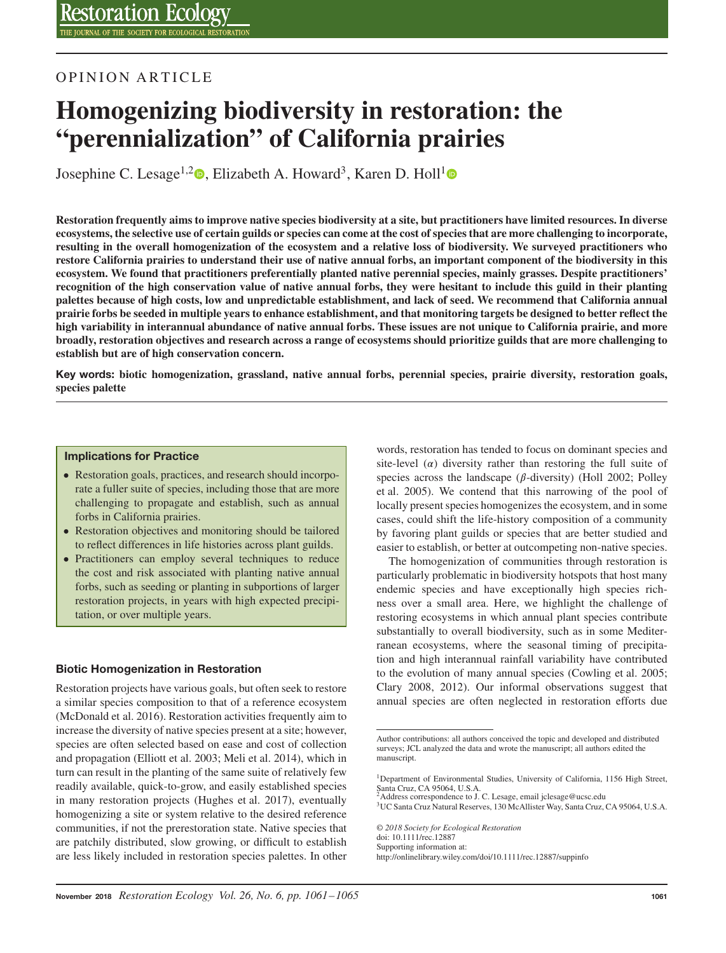# OPINION ARTICLE

# **Homogenizing biodiversity in restoration: the "perennialization" of California prairies**

Josephine C. Lesage<sup>1[,](http://orcid.org/0000-0002-6264-101X)2</sup><sup>0</sup>, Elizabeth A. Howard<sup>3</sup>, Karen D. Holl<sup>[1](http://orcid.org/0000-0003-2893-6161)</sup><sup>0</sup>

**Restoration frequently aims to improve native species biodiversity at a site, but practitioners have limited resources. In diverse ecosystems, the selective use of certain guilds or species can come at the cost of species that are more challenging to incorporate, resulting in the overall homogenization of the ecosystem and a relative loss of biodiversity. We surveyed practitioners who restore California prairies to understand their use of native annual forbs, an important component of the biodiversity in this ecosystem. We found that practitioners preferentially planted native perennial species, mainly grasses. Despite practitioners' recognition of the high conservation value of native annual forbs, they were hesitant to include this guild in their planting palettes because of high costs, low and unpredictable establishment, and lack of seed. We recommend that California annual prairie forbs be seeded in multiple years to enhance establishment, and that monitoring targets be designed to better reflect the high variability in interannual abundance of native annual forbs. These issues are not unique to California prairie, and more broadly, restoration objectives and research across a range of ecosystems should prioritize guilds that are more challenging to establish but are of high conservation concern.**

**Key words: biotic homogenization, grassland, native annual forbs, perennial species, prairie diversity, restoration goals, species palette**

#### **Implications for Practice**

- Restoration goals, practices, and research should incorporate a fuller suite of species, including those that are more challenging to propagate and establish, such as annual forbs in California prairies.
- Restoration objectives and monitoring should be tailored to reflect differences in life histories across plant guilds.
- Practitioners can employ several techniques to reduce the cost and risk associated with planting native annual forbs, such as seeding or planting in subportions of larger restoration projects, in years with high expected precipitation, or over multiple years.

### **Biotic Homogenization in Restoration**

Restoration projects have various goals, but often seek to restore a similar species composition to that of a reference ecosystem (McDonald et al. 2016). Restoration activities frequently aim to increase the diversity of native species present at a site; however, species are often selected based on ease and cost of collection and propagation (Elliott et al. 2003; Meli et al. 2014), which in turn can result in the planting of the same suite of relatively few readily available, quick-to-grow, and easily established species in many restoration projects (Hughes et al. 2017), eventually homogenizing a site or system relative to the desired reference communities, if not the prerestoration state. Native species that are patchily distributed, slow growing, or difficult to establish are less likely included in restoration species palettes. In other

words, restoration has tended to focus on dominant species and site-level ( $\alpha$ ) diversity rather than restoring the full suite of species across the landscape ( $\beta$ -diversity) (Holl 2002; Polley et al. 2005). We contend that this narrowing of the pool of locally present species homogenizes the ecosystem, and in some cases, could shift the life-history composition of a community by favoring plant guilds or species that are better studied and easier to establish, or better at outcompeting non-native species.

The homogenization of communities through restoration is particularly problematic in biodiversity hotspots that host many endemic species and have exceptionally high species richness over a small area. Here, we highlight the challenge of restoring ecosystems in which annual plant species contribute substantially to overall biodiversity, such as in some Mediterranean ecosystems, where the seasonal timing of precipitation and high interannual rainfall variability have contributed to the evolution of many annual species (Cowling et al. 2005; Clary 2008, 2012). Our informal observations suggest that annual species are often neglected in restoration efforts due

*© 2018 Society for Ecological Restoration* doi: 10.1111/rec.12887 Supporting information at: http://onlinelibrary.wiley.com/doi/10.1111/rec.12887/suppinfo

Author contributions: all authors conceived the topic and developed and distributed surveys; JCL analyzed the data and wrote the manuscript; all authors edited the manuscript.

<sup>&</sup>lt;sup>1</sup>Department of Environmental Studies, University of California, 1156 High Street, Santa Cruz, CA 95064, U.S.A. 2Address correspondence to J. C. Lesage, email jclesage@ucsc.edu

<sup>3</sup>UC Santa Cruz Natural Reserves, 130 McAllister Way, Santa Cruz, CA 95064, U.S.A.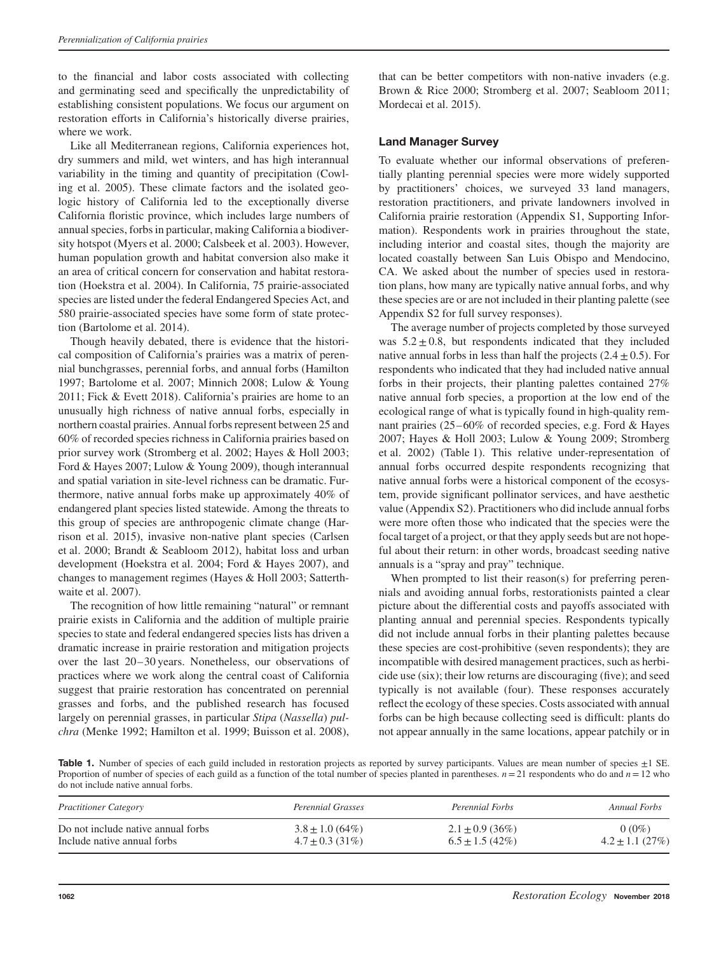to the financial and labor costs associated with collecting and germinating seed and specifically the unpredictability of establishing consistent populations. We focus our argument on restoration efforts in California's historically diverse prairies, where we work.

Like all Mediterranean regions, California experiences hot, dry summers and mild, wet winters, and has high interannual variability in the timing and quantity of precipitation (Cowling et al. 2005). These climate factors and the isolated geologic history of California led to the exceptionally diverse California floristic province, which includes large numbers of annual species, forbs in particular, making California a biodiversity hotspot (Myers et al. 2000; Calsbeek et al. 2003). However, human population growth and habitat conversion also make it an area of critical concern for conservation and habitat restoration (Hoekstra et al. 2004). In California, 75 prairie-associated species are listed under the federal Endangered Species Act, and 580 prairie-associated species have some form of state protection (Bartolome et al. 2014).

Though heavily debated, there is evidence that the historical composition of California's prairies was a matrix of perennial bunchgrasses, perennial forbs, and annual forbs (Hamilton 1997; Bartolome et al. 2007; Minnich 2008; Lulow & Young 2011; Fick & Evett 2018). California's prairies are home to an unusually high richness of native annual forbs, especially in northern coastal prairies. Annual forbs represent between 25 and 60% of recorded species richness in California prairies based on prior survey work (Stromberg et al. 2002; Hayes & Holl 2003; Ford & Hayes 2007; Lulow & Young 2009), though interannual and spatial variation in site-level richness can be dramatic. Furthermore, native annual forbs make up approximately 40% of endangered plant species listed statewide. Among the threats to this group of species are anthropogenic climate change (Harrison et al. 2015), invasive non-native plant species (Carlsen et al. 2000; Brandt & Seabloom 2012), habitat loss and urban development (Hoekstra et al. 2004; Ford & Hayes 2007), and changes to management regimes (Hayes & Holl 2003; Satterthwaite et al. 2007).

The recognition of how little remaining "natural" or remnant prairie exists in California and the addition of multiple prairie species to state and federal endangered species lists has driven a dramatic increase in prairie restoration and mitigation projects over the last 20–30 years. Nonetheless, our observations of practices where we work along the central coast of California suggest that prairie restoration has concentrated on perennial grasses and forbs, and the published research has focused largely on perennial grasses, in particular *Stipa* (*Nassella*) *pulchra* (Menke 1992; Hamilton et al. 1999; Buisson et al. 2008),

that can be better competitors with non-native invaders (e.g. Brown & Rice 2000; Stromberg et al. 2007; Seabloom 2011; Mordecai et al. 2015).

# **Land Manager Survey**

To evaluate whether our informal observations of preferentially planting perennial species were more widely supported by practitioners' choices, we surveyed 33 land managers, restoration practitioners, and private landowners involved in California prairie restoration (Appendix S1, Supporting Information). Respondents work in prairies throughout the state, including interior and coastal sites, though the majority are located coastally between San Luis Obispo and Mendocino, CA. We asked about the number of species used in restoration plans, how many are typically native annual forbs, and why these species are or are not included in their planting palette (see Appendix S2 for full survey responses).

The average number of projects completed by those surveyed was  $5.2 \pm 0.8$ , but respondents indicated that they included native annual forbs in less than half the projects  $(2.4+0.5)$ . For respondents who indicated that they had included native annual forbs in their projects, their planting palettes contained 27% native annual forb species, a proportion at the low end of the ecological range of what is typically found in high-quality remnant prairies (25–60% of recorded species, e.g. Ford & Hayes 2007; Hayes & Holl 2003; Lulow & Young 2009; Stromberg et al. 2002) (Table 1). This relative under-representation of annual forbs occurred despite respondents recognizing that native annual forbs were a historical component of the ecosystem, provide significant pollinator services, and have aesthetic value (Appendix S2). Practitioners who did include annual forbs were more often those who indicated that the species were the focal target of a project, or that they apply seeds but are not hopeful about their return: in other words, broadcast seeding native annuals is a "spray and pray" technique.

When prompted to list their reason(s) for preferring perennials and avoiding annual forbs, restorationists painted a clear picture about the differential costs and payoffs associated with planting annual and perennial species. Respondents typically did not include annual forbs in their planting palettes because these species are cost-prohibitive (seven respondents); they are incompatible with desired management practices, such as herbicide use (six); their low returns are discouraging (five); and seed typically is not available (four). These responses accurately reflect the ecology of these species. Costs associated with annual forbs can be high because collecting seed is difficult: plants do not appear annually in the same locations, appear patchily or in

Table 1. Number of species of each guild included in restoration projects as reported by survey participants. Values are mean number of species  $\pm 1$  SE. Proportion of number of species of each guild as a function of the total number of species planted in parentheses. *n*=21 respondents who do and *n*=12 who do not include native annual forbs.

| <b>Practitioner Category</b>       | <b>Perennial Grasses</b> | <b>Perennial Forbs</b> | Annual Forbs        |
|------------------------------------|--------------------------|------------------------|---------------------|
| Do not include native annual forbs | $3.8 \pm 1.0$ (64%)      | $2.1 \pm 0.9$ (36%)    | $0(0\%)$            |
| Include native annual forbs        | $4.7 \pm 0.3$ (31%)      | $6.5 \pm 1.5$ (42%)    | $4.2 \pm 1.1$ (27%) |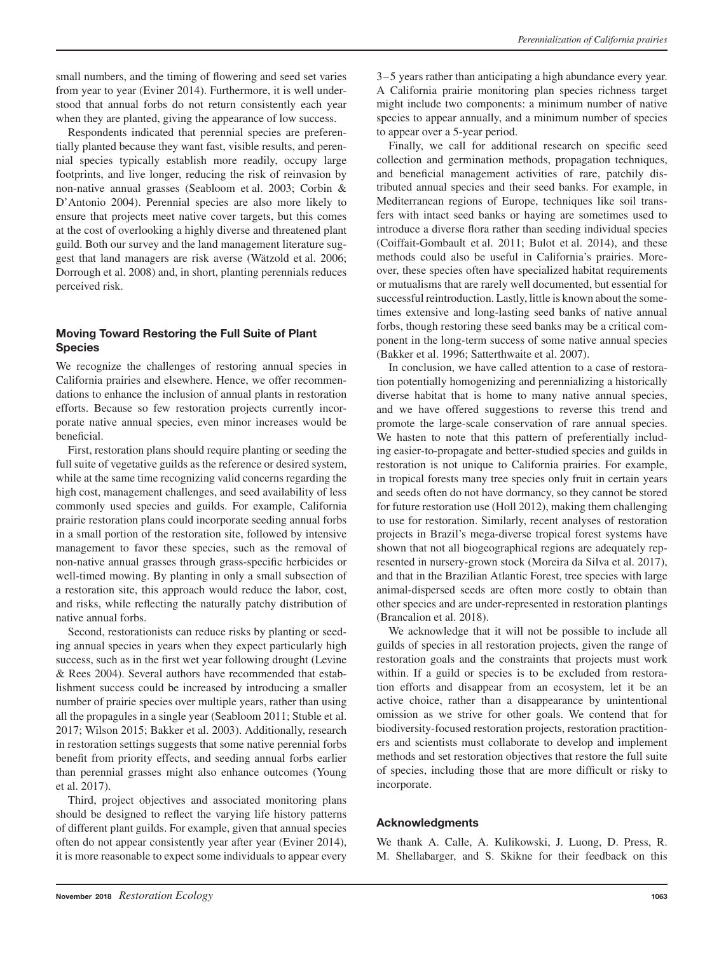small numbers, and the timing of flowering and seed set varies from year to year (Eviner 2014). Furthermore, it is well understood that annual forbs do not return consistently each year when they are planted, giving the appearance of low success.

Respondents indicated that perennial species are preferentially planted because they want fast, visible results, and perennial species typically establish more readily, occupy large footprints, and live longer, reducing the risk of reinvasion by non-native annual grasses (Seabloom et al. 2003; Corbin & D'Antonio 2004). Perennial species are also more likely to ensure that projects meet native cover targets, but this comes at the cost of overlooking a highly diverse and threatened plant guild. Both our survey and the land management literature suggest that land managers are risk averse (Wätzold et al. 2006; Dorrough et al. 2008) and, in short, planting perennials reduces perceived risk.

## **Moving Toward Restoring the Full Suite of Plant Species**

We recognize the challenges of restoring annual species in California prairies and elsewhere. Hence, we offer recommendations to enhance the inclusion of annual plants in restoration efforts. Because so few restoration projects currently incorporate native annual species, even minor increases would be beneficial.

First, restoration plans should require planting or seeding the full suite of vegetative guilds as the reference or desired system, while at the same time recognizing valid concerns regarding the high cost, management challenges, and seed availability of less commonly used species and guilds. For example, California prairie restoration plans could incorporate seeding annual forbs in a small portion of the restoration site, followed by intensive management to favor these species, such as the removal of non-native annual grasses through grass-specific herbicides or well-timed mowing. By planting in only a small subsection of a restoration site, this approach would reduce the labor, cost, and risks, while reflecting the naturally patchy distribution of native annual forbs.

Second, restorationists can reduce risks by planting or seeding annual species in years when they expect particularly high success, such as in the first wet year following drought (Levine & Rees 2004). Several authors have recommended that establishment success could be increased by introducing a smaller number of prairie species over multiple years, rather than using all the propagules in a single year (Seabloom 2011; Stuble et al. 2017; Wilson 2015; Bakker et al. 2003). Additionally, research in restoration settings suggests that some native perennial forbs benefit from priority effects, and seeding annual forbs earlier than perennial grasses might also enhance outcomes (Young et al. 2017).

Third, project objectives and associated monitoring plans should be designed to reflect the varying life history patterns of different plant guilds. For example, given that annual species often do not appear consistently year after year (Eviner 2014), it is more reasonable to expect some individuals to appear every

3–5 years rather than anticipating a high abundance every year. A California prairie monitoring plan species richness target might include two components: a minimum number of native species to appear annually, and a minimum number of species to appear over a 5-year period.

Finally, we call for additional research on specific seed collection and germination methods, propagation techniques, and beneficial management activities of rare, patchily distributed annual species and their seed banks. For example, in Mediterranean regions of Europe, techniques like soil transfers with intact seed banks or haying are sometimes used to introduce a diverse flora rather than seeding individual species (Coiffait-Gombault et al. 2011; Bulot et al. 2014), and these methods could also be useful in California's prairies. Moreover, these species often have specialized habitat requirements or mutualisms that are rarely well documented, but essential for successful reintroduction. Lastly, little is known about the sometimes extensive and long-lasting seed banks of native annual forbs, though restoring these seed banks may be a critical component in the long-term success of some native annual species (Bakker et al. 1996; Satterthwaite et al. 2007).

In conclusion, we have called attention to a case of restoration potentially homogenizing and perennializing a historically diverse habitat that is home to many native annual species, and we have offered suggestions to reverse this trend and promote the large-scale conservation of rare annual species. We hasten to note that this pattern of preferentially including easier-to-propagate and better-studied species and guilds in restoration is not unique to California prairies. For example, in tropical forests many tree species only fruit in certain years and seeds often do not have dormancy, so they cannot be stored for future restoration use (Holl 2012), making them challenging to use for restoration. Similarly, recent analyses of restoration projects in Brazil's mega-diverse tropical forest systems have shown that not all biogeographical regions are adequately represented in nursery-grown stock (Moreira da Silva et al. 2017), and that in the Brazilian Atlantic Forest, tree species with large animal-dispersed seeds are often more costly to obtain than other species and are under-represented in restoration plantings (Brancalion et al. 2018).

We acknowledge that it will not be possible to include all guilds of species in all restoration projects, given the range of restoration goals and the constraints that projects must work within. If a guild or species is to be excluded from restoration efforts and disappear from an ecosystem, let it be an active choice, rather than a disappearance by unintentional omission as we strive for other goals. We contend that for biodiversity-focused restoration projects, restoration practitioners and scientists must collaborate to develop and implement methods and set restoration objectives that restore the full suite of species, including those that are more difficult or risky to incorporate.

# **Acknowledgments**

We thank A. Calle, A. Kulikowski, J. Luong, D. Press, R. M. Shellabarger, and S. Skikne for their feedback on this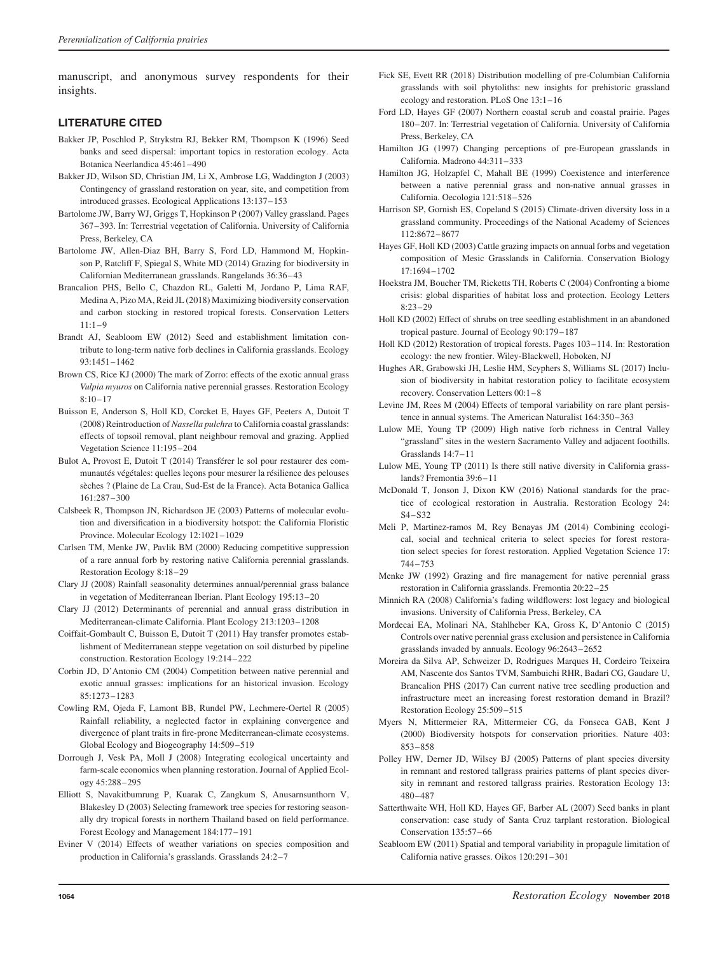manuscript, and anonymous survey respondents for their insights.

### **LITERATURE CITED**

- Bakker JP, Poschlod P, Strykstra RJ, Bekker RM, Thompson K (1996) Seed banks and seed dispersal: important topics in restoration ecology. Acta Botanica Neerlandica 45:461–490
- Bakker JD, Wilson SD, Christian JM, Li X, Ambrose LG, Waddington J (2003) Contingency of grassland restoration on year, site, and competition from introduced grasses. Ecological Applications 13:137–153
- Bartolome JW, Barry WJ, Griggs T, Hopkinson P (2007) Valley grassland. Pages 367–393. In: Terrestrial vegetation of California. University of California Press, Berkeley, CA
- Bartolome JW, Allen-Diaz BH, Barry S, Ford LD, Hammond M, Hopkinson P, Ratcliff F, Spiegal S, White MD (2014) Grazing for biodiversity in Californian Mediterranean grasslands. Rangelands 36:36–43
- Brancalion PHS, Bello C, Chazdon RL, Galetti M, Jordano P, Lima RAF, Medina A, Pizo MA, Reid JL (2018) Maximizing biodiversity conservation and carbon stocking in restored tropical forests. Conservation Letters 11:1–9
- Brandt AJ, Seabloom EW (2012) Seed and establishment limitation contribute to long-term native forb declines in California grasslands. Ecology 93:1451–1462
- Brown CS, Rice KJ (2000) The mark of Zorro: effects of the exotic annual grass *Vulpia myuros* on California native perennial grasses. Restoration Ecology 8:10–17
- Buisson E, Anderson S, Holl KD, Corcket E, Hayes GF, Peeters A, Dutoit T (2008) Reintroduction of *Nassella pulchra* to California coastal grasslands: effects of topsoil removal, plant neighbour removal and grazing. Applied Vegetation Science 11:195–204
- Bulot A, Provost E, Dutoit T (2014) Transférer le sol pour restaurer des communautés végétales: quelles leçons pour mesurer la résilience des pelouses sèches ? (Plaine de La Crau, Sud-Est de la France). Acta Botanica Gallica 161:287–300
- Calsbeek R, Thompson JN, Richardson JE (2003) Patterns of molecular evolution and diversification in a biodiversity hotspot: the California Floristic Province. Molecular Ecology 12:1021–1029
- Carlsen TM, Menke JW, Pavlik BM (2000) Reducing competitive suppression of a rare annual forb by restoring native California perennial grasslands. Restoration Ecology 8:18–29
- Clary JJ (2008) Rainfall seasonality determines annual/perennial grass balance in vegetation of Mediterranean Iberian. Plant Ecology 195:13–20
- Clary JJ (2012) Determinants of perennial and annual grass distribution in Mediterranean-climate California. Plant Ecology 213:1203–1208
- Coiffait-Gombault C, Buisson E, Dutoit T (2011) Hay transfer promotes establishment of Mediterranean steppe vegetation on soil disturbed by pipeline construction. Restoration Ecology 19:214–222
- Corbin JD, D'Antonio CM (2004) Competition between native perennial and exotic annual grasses: implications for an historical invasion. Ecology 85:1273–1283
- Cowling RM, Ojeda F, Lamont BB, Rundel PW, Lechmere-Oertel R (2005) Rainfall reliability, a neglected factor in explaining convergence and divergence of plant traits in fire-prone Mediterranean-climate ecosystems. Global Ecology and Biogeography 14:509–519
- Dorrough J, Vesk PA, Moll J (2008) Integrating ecological uncertainty and farm-scale economics when planning restoration. Journal of Applied Ecology 45:288–295
- Elliott S, Navakitbumrung P, Kuarak C, Zangkum S, Anusarnsunthorn V, Blakesley D (2003) Selecting framework tree species for restoring seasonally dry tropical forests in northern Thailand based on field performance. Forest Ecology and Management 184:177–191
- Eviner V (2014) Effects of weather variations on species composition and production in California's grasslands. Grasslands 24:2–7
- Fick SE, Evett RR (2018) Distribution modelling of pre-Columbian California grasslands with soil phytoliths: new insights for prehistoric grassland ecology and restoration. PLoS One 13:1–16
- Ford LD, Hayes GF (2007) Northern coastal scrub and coastal prairie. Pages 180–207. In: Terrestrial vegetation of California. University of California Press, Berkeley, CA
- Hamilton JG (1997) Changing perceptions of pre-European grasslands in California. Madrono 44:311–333
- Hamilton JG, Holzapfel C, Mahall BE (1999) Coexistence and interference between a native perennial grass and non-native annual grasses in California. Oecologia 121:518–526
- Harrison SP, Gornish ES, Copeland S (2015) Climate-driven diversity loss in a grassland community. Proceedings of the National Academy of Sciences 112:8672–8677
- Hayes GF, Holl KD (2003) Cattle grazing impacts on annual forbs and vegetation composition of Mesic Grasslands in California. Conservation Biology 17:1694–1702
- Hoekstra JM, Boucher TM, Ricketts TH, Roberts C (2004) Confronting a biome crisis: global disparities of habitat loss and protection. Ecology Letters 8:23–29
- Holl KD (2002) Effect of shrubs on tree seedling establishment in an abandoned tropical pasture. Journal of Ecology 90:179–187
- Holl KD (2012) Restoration of tropical forests. Pages 103–114. In: Restoration ecology: the new frontier. Wiley-Blackwell, Hoboken, NJ
- Hughes AR, Grabowski JH, Leslie HM, Scyphers S, Williams SL (2017) Inclusion of biodiversity in habitat restoration policy to facilitate ecosystem recovery. Conservation Letters 00:1–8
- Levine JM, Rees M (2004) Effects of temporal variability on rare plant persistence in annual systems. The American Naturalist 164:350–363
- Lulow ME, Young TP (2009) High native forb richness in Central Valley "grassland" sites in the western Sacramento Valley and adjacent foothills. Grasslands 14:7–11
- Lulow ME, Young TP (2011) Is there still native diversity in California grasslands? Fremontia 39:6–11
- McDonald T, Jonson J, Dixon KW (2016) National standards for the practice of ecological restoration in Australia. Restoration Ecology 24: S4–S32
- Meli P, Martinez-ramos M, Rey Benayas JM (2014) Combining ecological, social and technical criteria to select species for forest restoration select species for forest restoration. Applied Vegetation Science 17: 744–753
- Menke JW (1992) Grazing and fire management for native perennial grass restoration in California grasslands. Fremontia 20:22–25
- Minnich RA (2008) California's fading wildflowers: lost legacy and biological invasions. University of California Press, Berkeley, CA
- Mordecai EA, Molinari NA, Stahlheber KA, Gross K, D'Antonio C (2015) Controls over native perennial grass exclusion and persistence in California grasslands invaded by annuals. Ecology 96:2643–2652
- Moreira da Silva AP, Schweizer D, Rodrigues Marques H, Cordeiro Teixeira AM, Nascente dos Santos TVM, Sambuichi RHR, Badari CG, Gaudare U, Brancalion PHS (2017) Can current native tree seedling production and infrastructure meet an increasing forest restoration demand in Brazil? Restoration Ecology 25:509–515
- Myers N, Mittermeier RA, Mittermeier CG, da Fonseca GAB, Kent J (2000) Biodiversity hotspots for conservation priorities. Nature 403: 853–858
- Polley HW, Derner JD, Wilsey BJ (2005) Patterns of plant species diversity in remnant and restored tallgrass prairies patterns of plant species diversity in remnant and restored tallgrass prairies. Restoration Ecology 13: 480–487
- Satterthwaite WH, Holl KD, Hayes GF, Barber AL (2007) Seed banks in plant conservation: case study of Santa Cruz tarplant restoration. Biological Conservation 135:57–66
- Seabloom EW (2011) Spatial and temporal variability in propagule limitation of California native grasses. Oikos 120:291–301